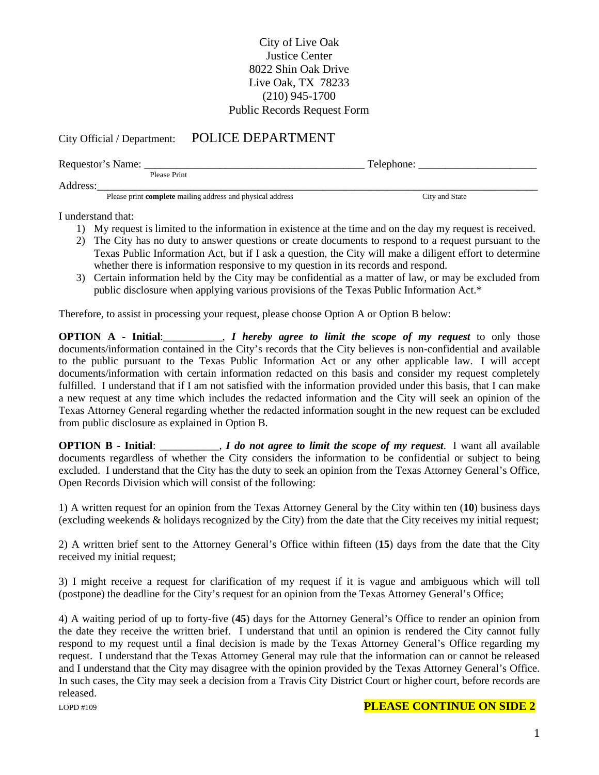## City of Live Oak Justice Center 8022 Shin Oak Drive Live Oak, TX 78233 (210) 945-1700 Public Records Request Form

## City Official / Department: POLICE DEPARTMENT

| Requestor's Name: |                                                                   | Telephone:     |  |
|-------------------|-------------------------------------------------------------------|----------------|--|
|                   | Please Print                                                      |                |  |
| Address:          |                                                                   |                |  |
|                   | Please print <b>complete</b> mailing address and physical address | City and State |  |

I understand that:

- 1) My request is limited to the information in existence at the time and on the day my request is received.
- 2) The City has no duty to answer questions or create documents to respond to a request pursuant to the Texas Public Information Act, but if I ask a question, the City will make a diligent effort to determine whether there is information responsive to my question in its records and respond.
- 3) Certain information held by the City may be confidential as a matter of law, or may be excluded from public disclosure when applying various provisions of the Texas Public Information Act.\*

Therefore, to assist in processing your request, please choose Option A or Option B below:

**OPTION A - Initial**:\_\_\_\_\_\_\_\_\_\_\_, *I hereby agree to limit the scope of my request* to only those documents/information contained in the City's records that the City believes is non-confidential and available to the public pursuant to the Texas Public Information Act or any other applicable law. I will accept documents/information with certain information redacted on this basis and consider my request completely fulfilled. I understand that if I am not satisfied with the information provided under this basis, that I can make a new request at any time which includes the redacted information and the City will seek an opinion of the Texas Attorney General regarding whether the redacted information sought in the new request can be excluded from public disclosure as explained in Option B.

**OPTION B - Initial**: \_\_\_\_\_\_\_\_\_\_\_, *I do not agree to limit the scope of my request*. I want all available documents regardless of whether the City considers the information to be confidential or subject to being excluded. I understand that the City has the duty to seek an opinion from the Texas Attorney General's Office, Open Records Division which will consist of the following:

1) A written request for an opinion from the Texas Attorney General by the City within ten (**10**) business days (excluding weekends & holidays recognized by the City) from the date that the City receives my initial request;

2) A written brief sent to the Attorney General's Office within fifteen (**15**) days from the date that the City received my initial request;

3) I might receive a request for clarification of my request if it is vague and ambiguous which will toll (postpone) the deadline for the City's request for an opinion from the Texas Attorney General's Office;

4) A waiting period of up to forty-five (**45**) days for the Attorney General's Office to render an opinion from the date they receive the written brief. I understand that until an opinion is rendered the City cannot fully respond to my request until a final decision is made by the Texas Attorney General's Office regarding my request. I understand that the Texas Attorney General may rule that the information can or cannot be released and I understand that the City may disagree with the opinion provided by the Texas Attorney General's Office. In such cases, the City may seek a decision from a Travis City District Court or higher court, before records are released.

## **PLEASE CONTINUE ON SIDE 2**